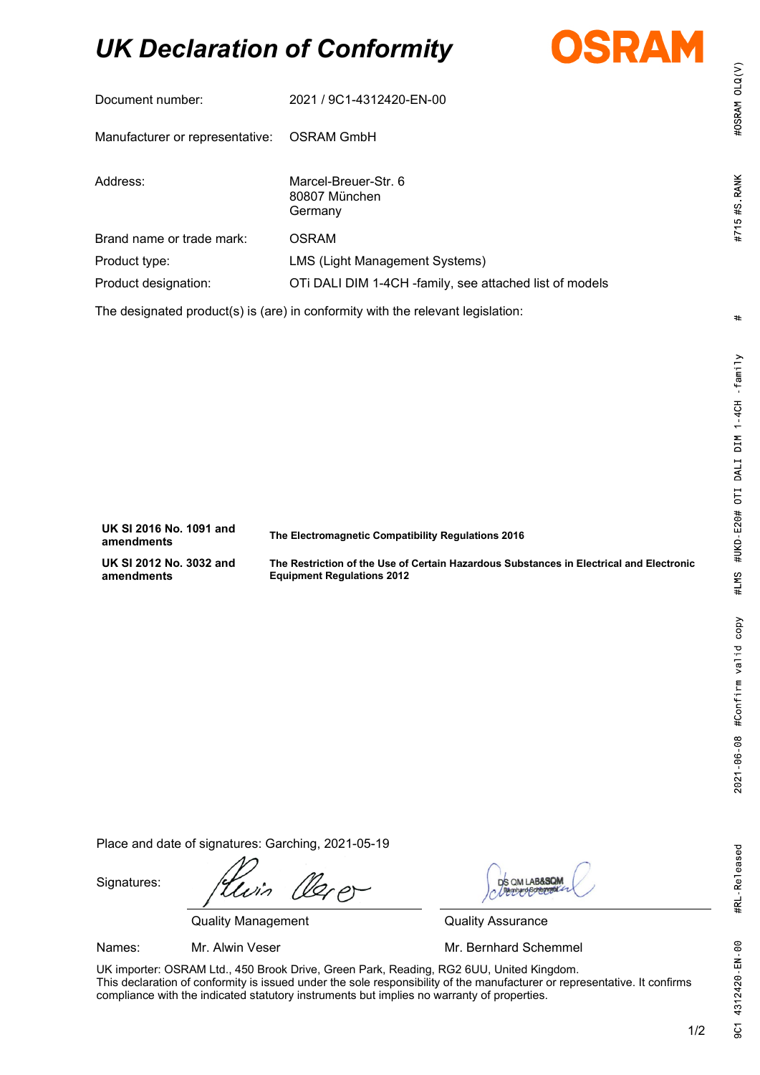# *UK Declaration of Conformity*



| 3<br>á<br>C<br>5# |  |
|-------------------|--|
|                   |  |
|                   |  |

| Document number:                | 2021 / 9C1-4312420-EN-00                                                        |
|---------------------------------|---------------------------------------------------------------------------------|
| Manufacturer or representative: | OSRAM GmbH                                                                      |
| Address:                        | Marcel-Breuer-Str. 6<br>80807 München<br>Germany                                |
| Brand name or trade mark:       | OSRAM                                                                           |
| Product type:                   | LMS (Light Management Systems)                                                  |
| Product designation:            | OTI DALI DIM 1-4CH -family, see attached list of models                         |
|                                 | The designated product(s) is (are) in conformity with the relevant legislation: |

**UK SI 2016 No. 1091 and amendments The Electromagnetic Compatibility Regulations 2016 UK SI 2012 No. 3032 and amendments The Restriction of the Use of Certain Hazardous Substances in Electrical and Electronic Equipment Regulations 2012**

Place and date of signatures: Garching, 2021-05-19

Signatures:

 $z_{\rho}$ pr

Quality Management **Quality Assurance** 

DS OM LAB&SQM

Names: Mr. Alwin Veser Mr. and Mr. Bernhard Schemmel

UK importer: OSRAM Ltd., 450 Brook Drive, Green Park, Reading, RG2 6UU, United Kingdom. This declaration of conformity is issued under the sole responsibility of the manufacturer or representative. It confirms compliance with the indicated statutory instruments but implies no warranty of properties.

1/2